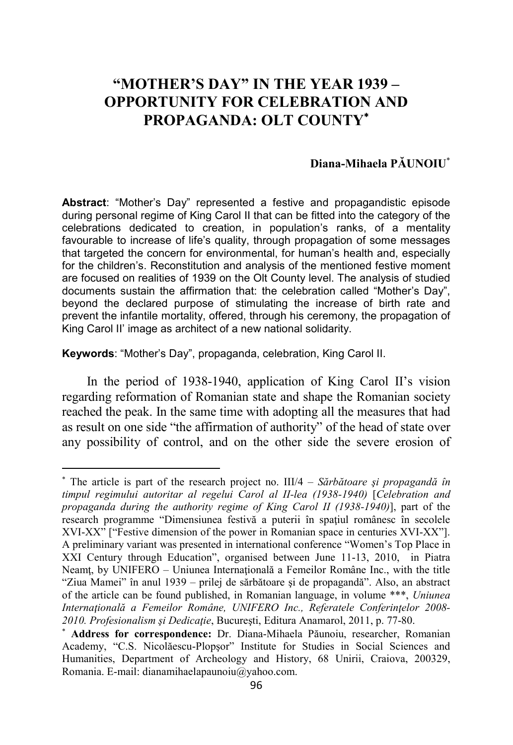# **"MOTHER'S DAY" IN THE YEAR 1939 – OPPORTUNITY FOR CELEBRATION AND PROPAGANDA: OLT COUNTY**<sup>∗</sup>

## **Diana-Mihaela PĂUNOIU**<sup>∗</sup>

**Abstract**: "Mother's Day" represented a festive and propagandistic episode during personal regime of King Carol II that can be fitted into the category of the celebrations dedicated to creation, in population's ranks, of a mentality favourable to increase of life's quality, through propagation of some messages that targeted the concern for environmental, for human's health and, especially for the children's. Reconstitution and analysis of the mentioned festive moment are focused on realities of 1939 on the Olt County level. The analysis of studied documents sustain the affirmation that: the celebration called "Mother's Day", beyond the declared purpose of stimulating the increase of birth rate and prevent the infantile mortality, offered, through his ceremony, the propagation of King Carol II' image as architect of a new national solidarity.

**Keywords**: "Mother's Day", propaganda, celebration, King Carol II.

l

In the period of 1938-1940, application of King Carol II's vision regarding reformation of Romanian state and shape the Romanian society reached the peak. In the same time with adopting all the measures that had as result on one side "the affirmation of authority" of the head of state over any possibility of control, and on the other side the severe erosion of

<sup>∗</sup> The article is part of the research project no. III/4 – *Sărbătoare şi propagandă în timpul regimului autoritar al regelui Carol al II-lea (1938-1940)* [*Celebration and propaganda during the authority regime of King Carol II (1938-1940)*], part of the research programme "Dimensiunea festivă a puterii în spațiul românesc în secolele XVI-XX" ["Festive dimension of the power in Romanian space in centuries XVI-XX"]. A preliminary variant was presented in international conference "Women's Top Place in XXI Century through Education", organised between June 11-13, 2010, in Piatra Neamţ, by UNIFERO – Uniunea Internaţională a Femeilor Române Inc., with the title "Ziua Mamei" în anul 1939 – prilej de sărbătoare şi de propagandă". Also, an abstract of the article can be found published, in Romanian language, in volume \*\*\*, *Uniunea Internaţională a Femeilor Române, UNIFERO Inc., Referatele Conferinţelor 2008- 2010. Profesionalism şi Dedicaţie*, Bucureşti, Editura Anamarol, 2011, p. 77-80.

<sup>∗</sup> **Address for correspondence:** Dr. Diana-Mihaela Păunoiu, researcher, Romanian Academy, "C.S. Nicolăescu-Plopşor" Institute for Studies in Social Sciences and Humanities, Department of Archeology and History, 68 Unirii, Craiova, 200329, Romania. E-mail: dianamihaelapaunoiu@yahoo.com.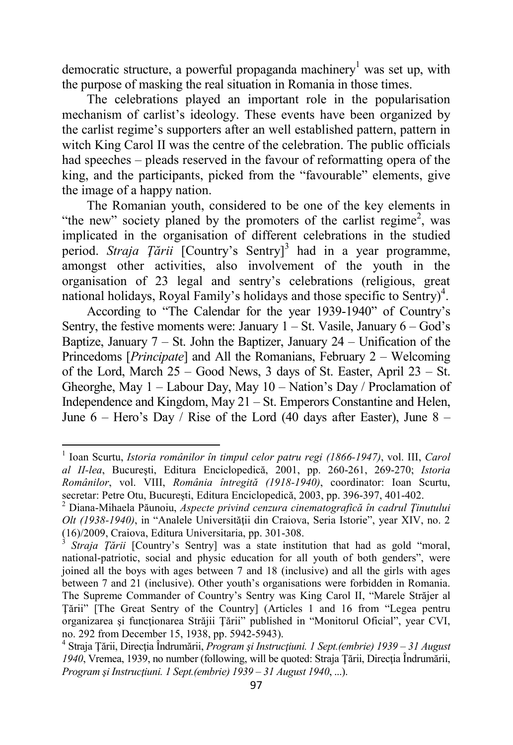democratic structure, a powerful propaganda machinery<sup>1</sup> was set up, with the purpose of masking the real situation in Romania in those times.

The celebrations played an important role in the popularisation mechanism of carlist's ideology. These events have been organized by the carlist regime's supporters after an well established pattern, pattern in witch King Carol II was the centre of the celebration. The public officials had speeches – pleads reserved in the favour of reformatting opera of the king, and the participants, picked from the "favourable" elements, give the image of a happy nation.

The Romanian youth, considered to be one of the key elements in "the new" society planed by the promoters of the carlist regime<sup>2</sup>, was implicated in the organisation of different celebrations in the studied period. *Straja Țării* [Country's Sentry]<sup>3</sup> had in a year programme, amongst other activities, also involvement of the youth in the organisation of 23 legal and sentry's celebrations (religious, great national holidays, Royal Family's holidays and those specific to Sentry)<sup>4</sup>.

According to "The Calendar for the year 1939-1940" of Country's Sentry, the festive moments were: January  $1 - St$ . Vasile, January  $6 - God's$ Baptize, January  $7 - St$ . John the Baptizer, January  $24 - Unification$  of the Princedoms [*Principate*] and All the Romanians, February 2 – Welcoming of the Lord, March 25 – Good News, 3 days of St. Easter, April 23 – St. Gheorghe, May 1 – Labour Day, May 10 – Nation's Day / Proclamation of Independence and Kingdom, May 21 – St. Emperors Constantine and Helen, June  $6$  – Hero's Day / Rise of the Lord (40 days after Easter), June  $8$  –

 $\overline{a}$ 

<sup>1</sup> Ioan Scurtu, *Istoria românilor în timpul celor patru regi (1866-1947)*, vol. III, *Carol al II-lea*, Bucureşti, Editura Enciclopedică, 2001, pp. 260-261, 269-270; *Istoria Românilor*, vol. VIII, *România întregită (1918-1940)*, coordinator: Ioan Scurtu, secretar: Petre Otu, Bucureşti, Editura Enciclopedică, 2003, pp. 396-397, 401-402.

<sup>2</sup> Diana-Mihaela Păunoiu, *Aspecte privind cenzura cinematografică în cadrul Ţinutului Olt (1938-1940)*, in "Analele Universității din Craiova, Seria Istorie", year XIV, no. 2 (16)/2009, Craiova, Editura Universitaria, pp. 301-308.

<sup>3</sup> *Straja Ţării* [Country's Sentry] was a state institution that had as gold "moral, national-patriotic, social and physic education for all youth of both genders", were joined all the boys with ages between 7 and 18 (inclusive) and all the girls with ages between 7 and 21 (inclusive). Other youth's organisations were forbidden in Romania. The Supreme Commander of Country's Sentry was King Carol II, "Marele Străjer al Ţării" [The Great Sentry of the Country] (Articles 1 and 16 from "Legea pentru organizarea şi funcţionarea Străjii Ţării" published in "Monitorul Oficial", year CVI, no. 292 from December 15, 1938, pp. 5942-5943).

<sup>4</sup> Straja Ţării, Direcţia Îndrumării, *Program şi Instrucţiuni. 1 Sept.(embrie) 1939 – 31 August*  1940, Vremea, 1939, no number (following, will be quoted: Straja Tării, Directia Îndrumării, *Program şi Instrucţiuni. 1 Sept.(embrie) 1939 – 31 August 1940*, ...).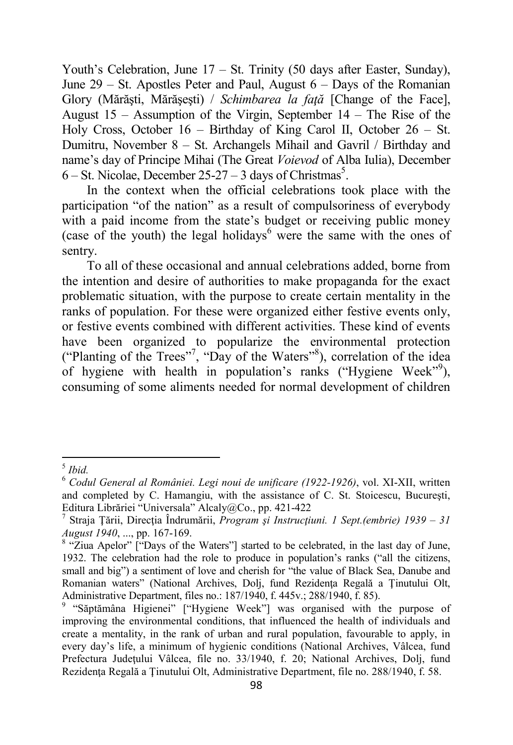Youth's Celebration, June 17 – St. Trinity (50 days after Easter, Sunday), June 29 – St. Apostles Peter and Paul, August 6 – Days of the Romanian Glory (Mărăşti, Mărăşeşti) / *Schimbarea la faţă* [Change of the Face], August 15 – Assumption of the Virgin, September 14 – The Rise of the Holy Cross, October 16 – Birthday of King Carol II, October 26 – St. Dumitru, November 8 – St. Archangels Mihail and Gavril / Birthday and name's day of Principe Mihai (The Great *Voievod* of Alba Iulia), December  $6 - \text{St. Nicolae, December 25-27} - 3 \text{ days of Christmas}^5.$ 

In the context when the official celebrations took place with the participation "of the nation" as a result of compulsoriness of everybody with a paid income from the state's budget or receiving public money (case of the youth) the legal holidays $<sup>6</sup>$  were the same with the ones of</sup> sentry.

To all of these occasional and annual celebrations added, borne from the intention and desire of authorities to make propaganda for the exact problematic situation, with the purpose to create certain mentality in the ranks of population. For these were organized either festive events only, or festive events combined with different activities. These kind of events have been organized to popularize the environmental protection ("Planting of the Trees"<sup>7</sup> , "Day of the Waters"<sup>8</sup> ), correlation of the idea of hygiene with health in population's ranks ("Hygiene Week"<sup>9</sup>), consuming of some aliments needed for normal development of children

 $\overline{a}$ 

<sup>5</sup> *Ibid.*

<sup>6</sup> *Codul General al României. Legi noui de unificare (1922-1926)*, vol. XI-XII, written and completed by C. Hamangiu, with the assistance of C. St. Stoicescu, Bucureşti, Editura Librăriei "Universala" Alcaly@Co., pp. 421-422

<sup>7</sup> Straja Ţării, Direcţia Îndrumării, *Program şi Instrucţiuni. 1 Sept.(embrie) 1939 – 31 August 1940*, ..., pp. 167-169.

<sup>&</sup>lt;sup>8</sup> "Ziua Apelor" ["Days of the Waters"] started to be celebrated, in the last day of June, 1932. The celebration had the role to produce in population's ranks ("all the citizens, small and big") a sentiment of love and cherish for "the value of Black Sea, Danube and Romanian waters" (National Archives, Dolj, fund Rezidenta Regală a Tinutului Olt, Administrative Department, files no.: 187/1940, f. 445v.; 288/1940, f. 85).

<sup>&</sup>lt;sup>9</sup> "Săptămâna Higienei" ["Hygiene Week"] was organised with the purpose of improving the environmental conditions, that influenced the health of individuals and create a mentality, in the rank of urban and rural population, favourable to apply, in every day's life, a minimum of hygienic conditions (National Archives, Vâlcea, fund Prefectura Județului Vâlcea, file no. 33/1940, f. 20; National Archives, Dolj, fund Rezidenţa Regală a Ţinutului Olt, Administrative Department, file no. 288/1940, f. 58.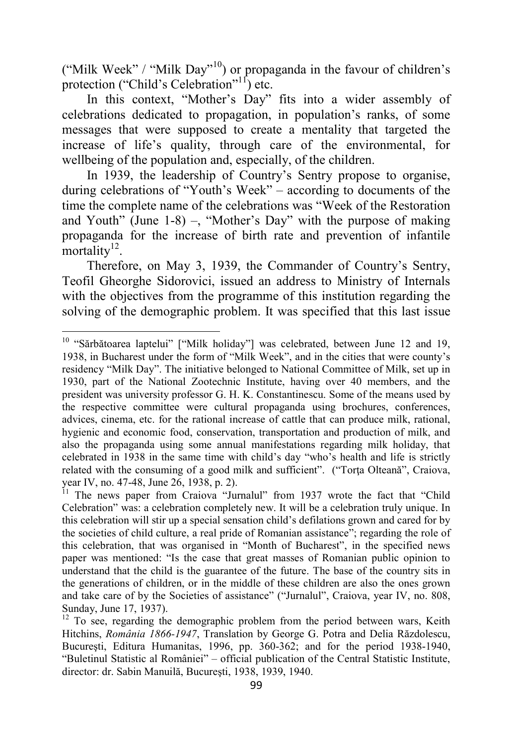("Milk Week" / "Milk Day"<sup>10</sup>) or propaganda in the favour of children's protection ("Child's Celebration"<sup>11</sup>) etc.

In this context, "Mother's Day" fits into a wider assembly of celebrations dedicated to propagation, in population's ranks, of some messages that were supposed to create a mentality that targeted the increase of life's quality, through care of the environmental, for wellbeing of the population and, especially, of the children.

In 1939, the leadership of Country's Sentry propose to organise, during celebrations of "Youth's Week" – according to documents of the time the complete name of the celebrations was "Week of the Restoration and Youth" (June 1-8) –, "Mother's Day" with the purpose of making propaganda for the increase of birth rate and prevention of infantile  $mortality$ <sup>12</sup>.

Therefore, on May 3, 1939, the Commander of Country's Sentry, Teofil Gheorghe Sidorovici, issued an address to Ministry of Internals with the objectives from the programme of this institution regarding the solving of the demographic problem. It was specified that this last issue

 $\overline{a}$ 

<sup>&</sup>lt;sup>10</sup> "Sărbătoarea laptelui" ["Milk holiday"] was celebrated, between June 12 and 19, 1938, in Bucharest under the form of "Milk Week", and in the cities that were county's residency "Milk Day". The initiative belonged to National Committee of Milk, set up in 1930, part of the National Zootechnic Institute, having over 40 members, and the president was university professor G. H. K. Constantinescu. Some of the means used by the respective committee were cultural propaganda using brochures, conferences, advices, cinema, etc. for the rational increase of cattle that can produce milk, rational, hygienic and economic food, conservation, transportation and production of milk, and also the propaganda using some annual manifestations regarding milk holiday, that celebrated in 1938 in the same time with child's day "who's health and life is strictly related with the consuming of a good milk and sufficient". ("Torta Olteană", Craiova, year IV, no. 47-48, June 26, 1938, p. 2).

<sup>&</sup>lt;sup>11</sup> The news paper from Craiova "Jurnalul" from 1937 wrote the fact that "Child Celebration" was: a celebration completely new. It will be a celebration truly unique. In this celebration will stir up a special sensation child's defilations grown and cared for by the societies of child culture, a real pride of Romanian assistance"; regarding the role of this celebration, that was organised in "Month of Bucharest", in the specified news paper was mentioned: "Is the case that great masses of Romanian public opinion to understand that the child is the guarantee of the future. The base of the country sits in the generations of children, or in the middle of these children are also the ones grown and take care of by the Societies of assistance" ("Jurnalul", Craiova, year IV, no. 808, Sunday, June 17, 1937).

<sup>&</sup>lt;sup>12</sup> To see, regarding the demographic problem from the period between wars, Keith Hitchins, *România 1866-1947*, Translation by George G. Potra and Delia Răzdolescu, Bucureşti, Editura Humanitas, 1996, pp. 360-362; and for the period 1938-1940, "Buletinul Statistic al României" – official publication of the Central Statistic Institute, director: dr. Sabin Manuilă, Bucureşti, 1938, 1939, 1940.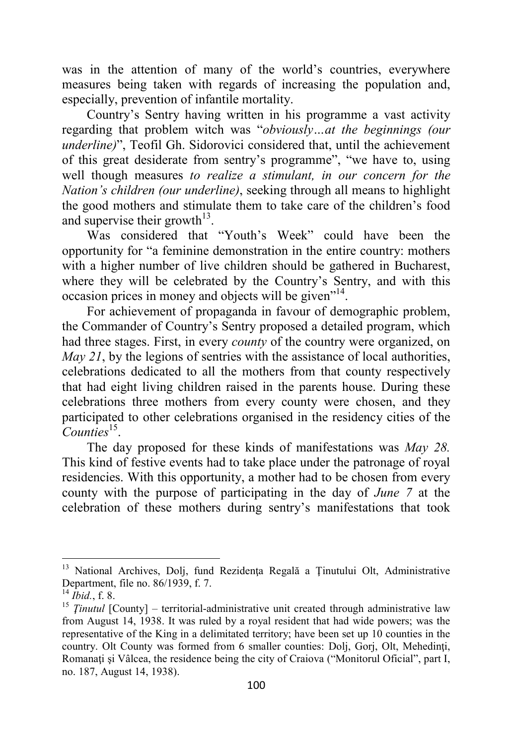was in the attention of many of the world's countries, everywhere measures being taken with regards of increasing the population and, especially, prevention of infantile mortality.

Country's Sentry having written in his programme a vast activity regarding that problem witch was "*obviously…at the beginnings (our underline)*", Teofil Gh. Sidorovici considered that, until the achievement of this great desiderate from sentry's programme", "we have to, using well though measures *to realize a stimulant, in our concern for the Nation's children (our underline)*, seeking through all means to highlight the good mothers and stimulate them to take care of the children's food and supervise their growth $^{13}$ .

Was considered that "Youth's Week" could have been the opportunity for "a feminine demonstration in the entire country: mothers with a higher number of live children should be gathered in Bucharest, where they will be celebrated by the Country's Sentry, and with this occasion prices in money and objects will be given<sup>"14</sup>.

For achievement of propaganda in favour of demographic problem, the Commander of Country's Sentry proposed a detailed program, which had three stages. First, in every *county* of the country were organized, on *May 21*, by the legions of sentries with the assistance of local authorities, celebrations dedicated to all the mothers from that county respectively that had eight living children raised in the parents house. During these celebrations three mothers from every county were chosen, and they participated to other celebrations organised in the residency cities of the Counties<sup>15</sup>.

The day proposed for these kinds of manifestations was *May 28.*  This kind of festive events had to take place under the patronage of royal residencies. With this opportunity, a mother had to be chosen from every county with the purpose of participating in the day of *June 7* at the celebration of these mothers during sentry's manifestations that took

l

<sup>&</sup>lt;sup>13</sup> National Archives, Dolj, fund Rezidența Regală a Ținutului Olt, Administrative Department, file no. 86/1939, f. 7.

<sup>14</sup> *Ibid.*, f. 8.

<sup>&</sup>lt;sup>15</sup> *Tinutul* [County] – territorial-administrative unit created through administrative law from August 14, 1938. It was ruled by a royal resident that had wide powers; was the representative of the King in a delimitated territory; have been set up 10 counties in the country. Olt County was formed from 6 smaller counties: Dolj, Gorj, Olt, Mehedinti, Romanati și Vâlcea, the residence being the city of Craiova ("Monitorul Oficial", part I, no. 187, August 14, 1938).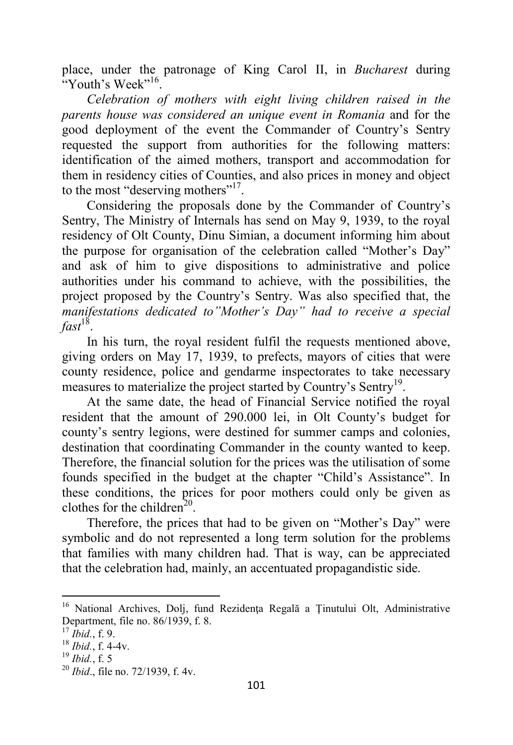place, under the patronage of King Carol II, in *Bucharest* during "Youth's Week"<sup>16</sup>.

*Celebration of mothers with eight living children raised in the parents house was considered an unique event in Romania* and for the good deployment of the event the Commander of Country's Sentry requested the support from authorities for the following matters: identification of the aimed mothers, transport and accommodation for them in residency cities of Counties, and also prices in money and object to the most "deserving mothers"<sup>17</sup>.

Considering the proposals done by the Commander of Country's Sentry, The Ministry of Internals has send on May 9, 1939, to the royal residency of Olt County, Dinu Simian, a document informing him about the purpose for organisation of the celebration called "Mother's Day" and ask of him to give dispositions to administrative and police authorities under his command to achieve, with the possibilities, the project proposed by the Country's Sentry. Was also specified that, the *manifestations dedicated to"Mother's Day" had to receive a special fast*<sup>18</sup> .

In his turn, the royal resident fulfil the requests mentioned above, giving orders on May 17, 1939, to prefects, mayors of cities that were county residence, police and gendarme inspectorates to take necessary measures to materialize the project started by Country's Sentry<sup>19</sup>.

At the same date, the head of Financial Service notified the royal resident that the amount of 290.000 lei, in Olt County's budget for county's sentry legions, were destined for summer camps and colonies, destination that coordinating Commander in the county wanted to keep. Therefore, the financial solution for the prices was the utilisation of some founds specified in the budget at the chapter "Child's Assistance". In these conditions, the prices for poor mothers could only be given as clothes for the children<sup>20</sup>.

Therefore, the prices that had to be given on "Mother's Day" were symbolic and do not represented a long term solution for the problems that families with many children had. That is way, can be appreciated that the celebration had, mainly, an accentuated propagandistic side.

 $\overline{\phantom{0}}$ 

<sup>&</sup>lt;sup>16</sup> National Archives, Dolj, fund Rezidența Regală a Ținutului Olt, Administrative Department, file no. 86/1939, f. 8.

<sup>17</sup> *Ibid.*, f. 9.

<sup>18</sup> *Ibid.*, f. 4-4v.

<sup>19</sup> *Ibid.*, f. 5

<sup>20</sup> *Ibid*., file no. 72/1939, f. 4v.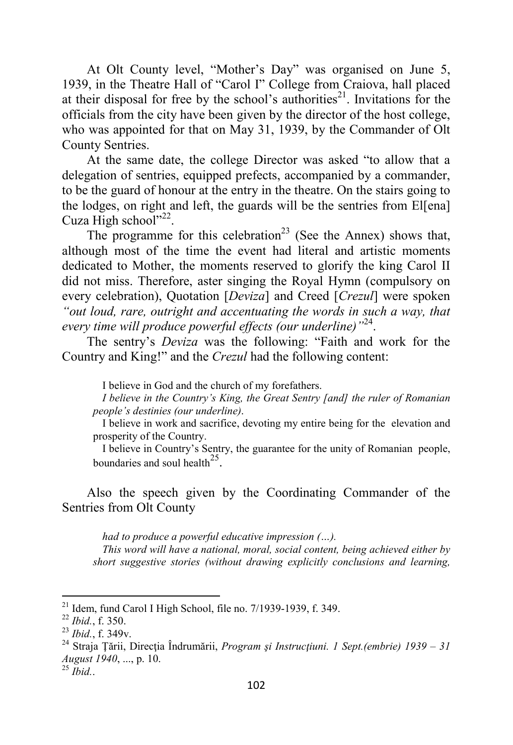At Olt County level, "Mother's Day" was organised on June 5, 1939, in the Theatre Hall of "Carol I" College from Craiova, hall placed at their disposal for free by the school's authorities<sup>21</sup>. Invitations for the officials from the city have been given by the director of the host college, who was appointed for that on May 31, 1939, by the Commander of Olt County Sentries.

At the same date, the college Director was asked "to allow that a delegation of sentries, equipped prefects, accompanied by a commander, to be the guard of honour at the entry in the theatre. On the stairs going to the lodges, on right and left, the guards will be the sentries from El[ena] Cuza High school"<sup>22</sup>.

The programme for this celebration<sup>23</sup> (See the Annex) shows that, although most of the time the event had literal and artistic moments dedicated to Mother, the moments reserved to glorify the king Carol II did not miss. Therefore, aster singing the Royal Hymn (compulsory on every celebration), Quotation [*Deviza*] and Creed [*Crezul*] were spoken *"out loud, rare, outright and accentuating the words in such a way, that every time will produce powerful effects (our underline)"* 24 .

The sentry's *Deviza* was the following: "Faith and work for the Country and King!" and the *Crezul* had the following content:

I believe in God and the church of my forefathers.

*I believe in the Country's King, the Great Sentry [and] the ruler of Romanian people's destinies (our underline)*.

I believe in work and sacrifice, devoting my entire being for the elevation and prosperity of the Country.

I believe in Country's Sentry, the guarantee for the unity of Romanian people, boundaries and soul health<sup>25</sup>.

Also the speech given by the Coordinating Commander of the Sentries from Olt County

*had to produce a powerful educative impression (…).* 

*This word will have a national, moral, social content, being achieved either by short suggestive stories (without drawing explicitly conclusions and learning,* 

<sup>25</sup> *Ibid.*.

 $\overline{\phantom{0}}$ 

 $21$  Idem, fund Carol I High School, file no.  $7/1939-1939$ , f. 349.

<sup>22</sup> *Ibid.*, f. 350.

<sup>23</sup> *Ibid.*, f. 349v.

<sup>&</sup>lt;sup>24</sup> Straja Țării, Direcția Îndrumării, *Program și Instrucțiuni. 1 Sept.(embrie) 1939 – 31 August 1940*, ..., p. 10.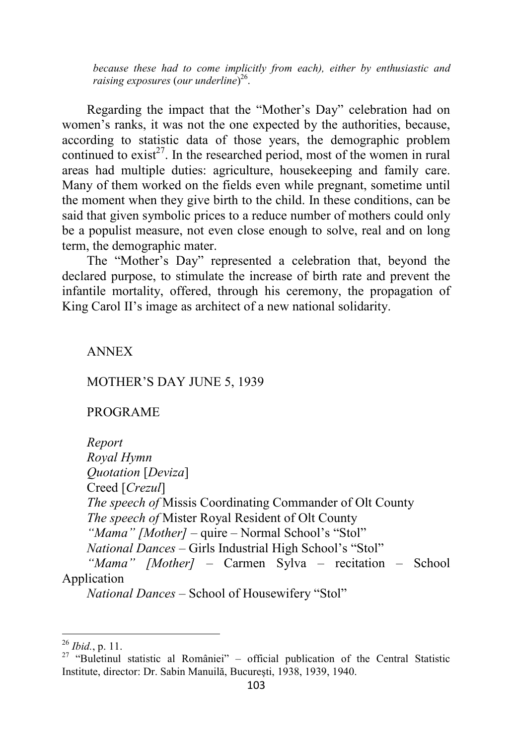*because these had to come implicitly from each), either by enthusiastic and raising exposures* (*our underline*) 26 .

Regarding the impact that the "Mother's Day" celebration had on women's ranks, it was not the one expected by the authorities, because, according to statistic data of those years, the demographic problem continued to  $\text{exist}^{27}$ . In the researched period, most of the women in rural areas had multiple duties: agriculture, housekeeping and family care. Many of them worked on the fields even while pregnant, sometime until the moment when they give birth to the child. In these conditions, can be said that given symbolic prices to a reduce number of mothers could only be a populist measure, not even close enough to solve, real and on long term, the demographic mater.

The "Mother's Day" represented a celebration that, beyond the declared purpose, to stimulate the increase of birth rate and prevent the infantile mortality, offered, through his ceremony, the propagation of King Carol II's image as architect of a new national solidarity.

### ANNEX

### MOTHER'S DAY JUNE 5, 1939

#### PROGRAME

*Report Royal Hymn Quotation* [*Deviza*] Creed [*Crezul*] *The speech of* Missis Coordinating Commander of Olt County *The speech of* Mister Royal Resident of Olt County *"Mama" [Mother]* – quire – Normal School's "Stol" *National Dances –* Girls Industrial High School's "Stol" *"Mama" [Mother]* – Carmen Sylva – recitation – School Application

l

*National Dances* – School of Housewifery "Stol"

<sup>26</sup> *Ibid.*, p. 11.

<sup>&</sup>lt;sup>27</sup> "Buletinul statistic al României" – official publication of the Central Statistic Institute, director: Dr. Sabin Manuilă, Bucureşti, 1938, 1939, 1940.